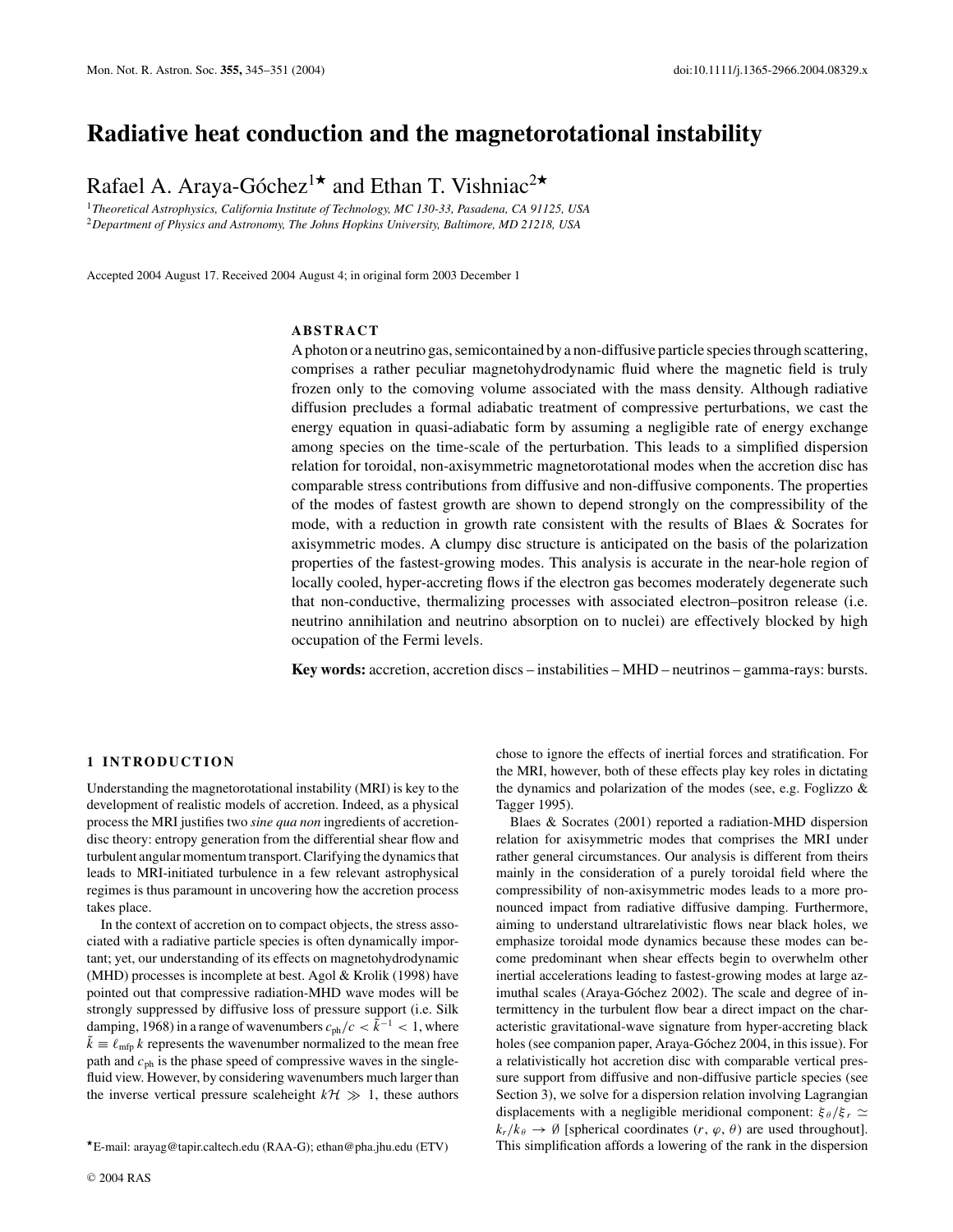# **Radiative heat conduction and the magnetorotational instability**

Rafael A. Araya-Góchez<sup>1\*</sup> and Ethan T. Vishniac<sup>2\*</sup>

<sup>1</sup>*Theoretical Astrophysics, California Institute of Technology, MC 130-33, Pasadena, CA 91125, USA* <sup>2</sup>*Department of Physics and Astronomy, The Johns Hopkins University, Baltimore, MD 21218, USA*

Accepted 2004 August 17. Received 2004 August 4; in original form 2003 December 1

# **ABSTRACT**

Aphoton or a neutrino gas, semicontained by a non-diffusive particle species through scattering, comprises a rather peculiar magnetohydrodynamic fluid where the magnetic field is truly frozen only to the comoving volume associated with the mass density. Although radiative diffusion precludes a formal adiabatic treatment of compressive perturbations, we cast the energy equation in quasi-adiabatic form by assuming a negligible rate of energy exchange among species on the time-scale of the perturbation. This leads to a simplified dispersion relation for toroidal, non-axisymmetric magnetorotational modes when the accretion disc has comparable stress contributions from diffusive and non-diffusive components. The properties of the modes of fastest growth are shown to depend strongly on the compressibility of the mode, with a reduction in growth rate consistent with the results of Blaes  $\&$  Socrates for axisymmetric modes. A clumpy disc structure is anticipated on the basis of the polarization properties of the fastest-growing modes. This analysis is accurate in the near-hole region of locally cooled, hyper-accreting flows if the electron gas becomes moderately degenerate such that non-conductive, thermalizing processes with associated electron–positron release (i.e. neutrino annihilation and neutrino absorption on to nuclei) are effectively blocked by high occupation of the Fermi levels.

**Key words:** accretion, accretion discs – instabilities – MHD – neutrinos – gamma-rays: bursts.

#### **1 INTRODUCTION**

Understanding the magnetorotational instability (MRI) is key to the development of realistic models of accretion. Indeed, as a physical process the MRI justifies two *sine qua non* ingredients of accretiondisc theory: entropy generation from the differential shear flow and turbulent angular momentum transport. Clarifying the dynamics that leads to MRI-initiated turbulence in a few relevant astrophysical regimes is thus paramount in uncovering how the accretion process takes place.

In the context of accretion on to compact objects, the stress associated with a radiative particle species is often dynamically important; yet, our understanding of its effects on magnetohydrodynamic (MHD) processes is incomplete at best. Agol & Krolik (1998) have pointed out that compressive radiation-MHD wave modes will be strongly suppressed by diffusive loss of pressure support (i.e. Silk damping, 1968) in a range of wavenumbers  $c_{ph}/c < \tilde{k}^{-1} < 1$ , where  $\tilde{k} \equiv \ell_{\rm mfp} k$  represents the wavenumber normalized to the mean free path and  $c_{ph}$  is the phase speed of compressive waves in the singlefluid view. However, by considering wavenumbers much larger than the inverse vertical pressure scaleheight  $k \mathcal{H} \gg 1$ , these authors

chose to ignore the effects of inertial forces and stratification. For the MRI, however, both of these effects play key roles in dictating the dynamics and polarization of the modes (see, e.g. Foglizzo & Tagger 1995).

Blaes & Socrates (2001) reported a radiation-MHD dispersion relation for axisymmetric modes that comprises the MRI under rather general circumstances. Our analysis is different from theirs mainly in the consideration of a purely toroidal field where the compressibility of non-axisymmetric modes leads to a more pronounced impact from radiative diffusive damping. Furthermore, aiming to understand ultrarelativistic flows near black holes, we emphasize toroidal mode dynamics because these modes can become predominant when shear effects begin to overwhelm other inertial accelerations leading to fastest-growing modes at large azimuthal scales (Araya-Góchez 2002). The scale and degree of intermittency in the turbulent flow bear a direct impact on the characteristic gravitational-wave signature from hyper-accreting black holes (see companion paper, Araya-Góchez 2004, in this issue). For a relativistically hot accretion disc with comparable vertical pressure support from diffusive and non-diffusive particle species (see Section 3), we solve for a dispersion relation involving Lagrangian displacements with a negligible meridional component:  $\xi_{\theta}/\xi_{r} \simeq$  $k_r/k_\theta \rightarrow \emptyset$  [spherical coordinates  $(r, \varphi, \theta)$  are used throughout]. This simplification affords a lowering of the rank in the dispersion

E-mail: arayag@tapir.caltech.edu (RAA-G); ethan@pha.jhu.edu (ETV)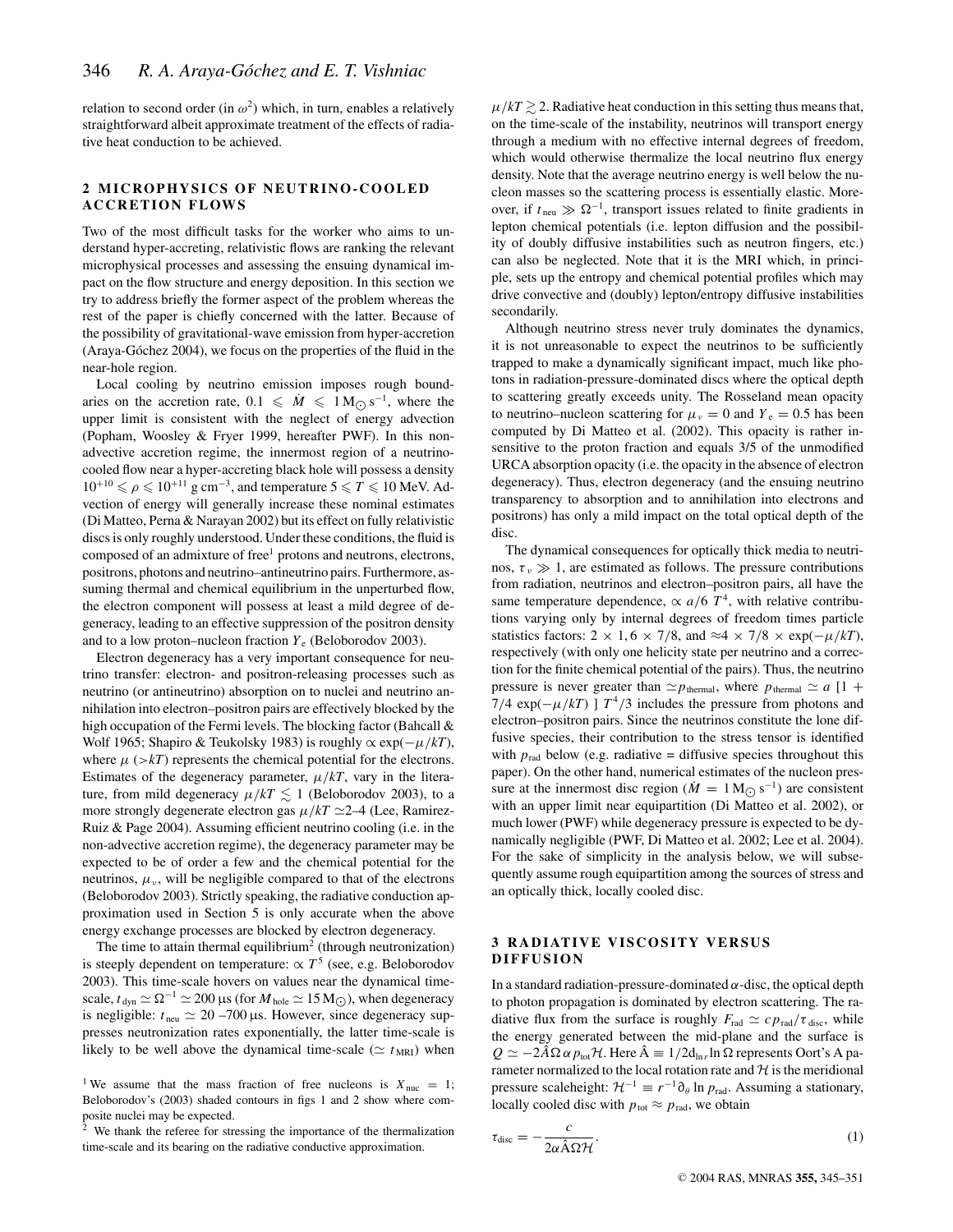relation to second order (in  $\omega^2$ ) which, in turn, enables a relatively straightforward albeit approximate treatment of the effects of radiative heat conduction to be achieved.

## **2 MICROPHYSICS OF NEUTRINO-COOLED ACCRETION FLOWS**

Two of the most difficult tasks for the worker who aims to understand hyper-accreting, relativistic flows are ranking the relevant microphysical processes and assessing the ensuing dynamical impact on the flow structure and energy deposition. In this section we try to address briefly the former aspect of the problem whereas the rest of the paper is chiefly concerned with the latter. Because of the possibility of gravitational-wave emission from hyper-accretion (Araya-Góchez 2004), we focus on the properties of the fluid in the near-hole region.

Local cooling by neutrino emission imposes rough boundaries on the accretion rate,  $0.1 \leq M \leq 1 \text{ M}_{\odot} \text{ s}^{-1}$ , where the upper limit is consistent with the neglect of energy advection (Popham, Woosley & Fryer 1999, hereafter PWF). In this nonadvective accretion regime, the innermost region of a neutrinocooled flow near a hyper-accreting black hole will possess a density  $10^{+10} \le \rho \le 10^{+11}$  g cm<sup>-3</sup>, and temperature  $5 \le T \le 10$  MeV. Advection of energy will generally increase these nominal estimates (Di Matteo, Perna & Narayan 2002) but its effect on fully relativistic discs is only roughly understood. Under these conditions, the fluid is composed of an admixture of free<sup>1</sup> protons and neutrons, electrons, positrons, photons and neutrino–antineutrino pairs. Furthermore, assuming thermal and chemical equilibrium in the unperturbed flow, the electron component will possess at least a mild degree of degeneracy, leading to an effective suppression of the positron density and to a low proton–nucleon fraction  $Y_e$  (Beloborodov 2003).

Electron degeneracy has a very important consequence for neutrino transfer: electron- and positron-releasing processes such as neutrino (or antineutrino) absorption on to nuclei and neutrino annihilation into electron–positron pairs are effectively blocked by the high occupation of the Fermi levels. The blocking factor (Bahcall & Wolf 1965; Shapiro & Teukolsky 1983) is roughly ∝ exp(−µ/*kT*), where  $\mu$  ( $\gt kT$ ) represents the chemical potential for the electrons. Estimates of the degeneracy parameter,  $\mu/kT$ , vary in the literature, from mild degeneracy  $\mu/kT \lesssim 1$  (Beloborodov 2003), to a more strongly degenerate electron gas  $\mu/kT \simeq 2-4$  (Lee, Ramirez-Ruiz & Page 2004). Assuming efficient neutrino cooling (i.e. in the non-advective accretion regime), the degeneracy parameter may be expected to be of order a few and the chemical potential for the neutrinos,  $\mu_{\nu}$ , will be negligible compared to that of the electrons (Beloborodov 2003). Strictly speaking, the radiative conduction approximation used in Section 5 is only accurate when the above energy exchange processes are blocked by electron degeneracy.

The time to attain thermal equilibrium<sup>2</sup> (through neutronization) is steeply dependent on temperature:  $\propto T^5$  (see, e.g. Beloborodov 2003). This time-scale hovers on values near the dynamical timescale,  $t_{\text{dyn}} \simeq \Omega^{-1} \simeq 200 \,\mu s$  (for  $M_{\text{hole}} \simeq 15 \,\text{M}_{\odot}$ ), when degeneracy is negligible:  $t_{\text{neu}} \simeq 20 -700 \,\mu s$ . However, since degeneracy suppresses neutronization rates exponentially, the latter time-scale is likely to be well above the dynamical time-scale ( $\simeq t_{MRI}$ ) when

We thank the referee for stressing the importance of the thermalization time-scale and its bearing on the radiative conductive approximation.

 $\mu/kT \gtrsim 2$ . Radiative heat conduction in this setting thus means that, on the time-scale of the instability, neutrinos will transport energy through a medium with no effective internal degrees of freedom, which would otherwise thermalize the local neutrino flux energy density. Note that the average neutrino energy is well below the nucleon masses so the scattering process is essentially elastic. Moreover, if  $t_{\text{neu}} \gg \Omega^{-1}$ , transport issues related to finite gradients in lepton chemical potentials (i.e. lepton diffusion and the possibility of doubly diffusive instabilities such as neutron fingers, etc.) can also be neglected. Note that it is the MRI which, in principle, sets up the entropy and chemical potential profiles which may drive convective and (doubly) lepton/entropy diffusive instabilities secondarily.

Although neutrino stress never truly dominates the dynamics, it is not unreasonable to expect the neutrinos to be sufficiently trapped to make a dynamically significant impact, much like photons in radiation-pressure-dominated discs where the optical depth to scattering greatly exceeds unity. The Rosseland mean opacity to neutrino–nucleon scattering for  $\mu_v = 0$  and  $Y_e = 0.5$  has been computed by Di Matteo et al. (2002). This opacity is rather insensitive to the proton fraction and equals 3/5 of the unmodified URCA absorption opacity (i.e. the opacity in the absence of electron degeneracy). Thus, electron degeneracy (and the ensuing neutrino transparency to absorption and to annihilation into electrons and positrons) has only a mild impact on the total optical depth of the disc.

The dynamical consequences for optically thick media to neutrinos,  $\tau_{v} \gg 1$ , are estimated as follows. The pressure contributions from radiation, neutrinos and electron–positron pairs, all have the same temperature dependence,  $\propto a/6$  *T*<sup>4</sup>, with relative contributions varying only by internal degrees of freedom times particle statistics factors:  $2 \times 1, 6 \times 7/8$ , and  $\approx 4 \times 7/8 \times \exp(-\mu/kT)$ , respectively (with only one helicity state per neutrino and a correction for the finite chemical potential of the pairs). Thus, the neutrino pressure is never greater than  $\approx p_{\text{thermal}}$ , where  $p_{\text{thermal}} \approx a [1 +$ 7/4 exp( $-\mu/kT$ ) ]  $T^4/3$  includes the pressure from photons and electron–positron pairs. Since the neutrinos constitute the lone diffusive species, their contribution to the stress tensor is identified with  $p_{rad}$  below (e.g. radiative = diffusive species throughout this paper). On the other hand, numerical estimates of the nucleon pressure at the innermost disc region ( $\dot{M} = 1$  M<sub> $\odot$ </sub> s<sup>-1</sup>) are consistent with an upper limit near equipartition (Di Matteo et al. 2002), or much lower (PWF) while degeneracy pressure is expected to be dynamically negligible (PWF, Di Matteo et al. 2002; Lee et al. 2004). For the sake of simplicity in the analysis below, we will subsequently assume rough equipartition among the sources of stress and an optically thick, locally cooled disc.

# **3 RADIATIVE VISCOSITY VERSUS DIFFUSION**

In a standard radiation-pressure-dominated  $\alpha$ -disc, the optical depth to photon propagation is dominated by electron scattering. The radiative flux from the surface is roughly  $F_{\text{rad}} \simeq c p_{\text{rad}}/\tau_{\text{disc}}$ , while the energy generated between the mid-plane and the surface is  $Q \simeq -2\hat{A}\Omega \alpha p_{\text{tot}}\mathcal{H}$ . Here  $\hat{A} \equiv 1/2d_{\text{ln}}r\ln \Omega$  represents Oort's A parameter normalized to the local rotation rate and  $H$  is the meridional pressure scaleheight:  $\mathcal{H}^{-1} \equiv r^{-1} \partial_{\theta} \ln p_{rad}$ . Assuming a stationary, locally cooled disc with  $p_{\text{tot}} \approx p_{\text{rad}}$ , we obtain

$$
\tau_{\rm disc} = -\frac{c}{2\alpha \hat{\mathbf{A}} \Omega \mathcal{H}}.\tag{1}
$$

<sup>&</sup>lt;sup>1</sup> We assume that the mass fraction of free nucleons is  $X_{\text{nuc}} = 1$ ; Beloborodov's (2003) shaded contours in figs 1 and 2 show where composite nuclei may be expected.<br>
<sup>2</sup> We thank <sup>1</sup>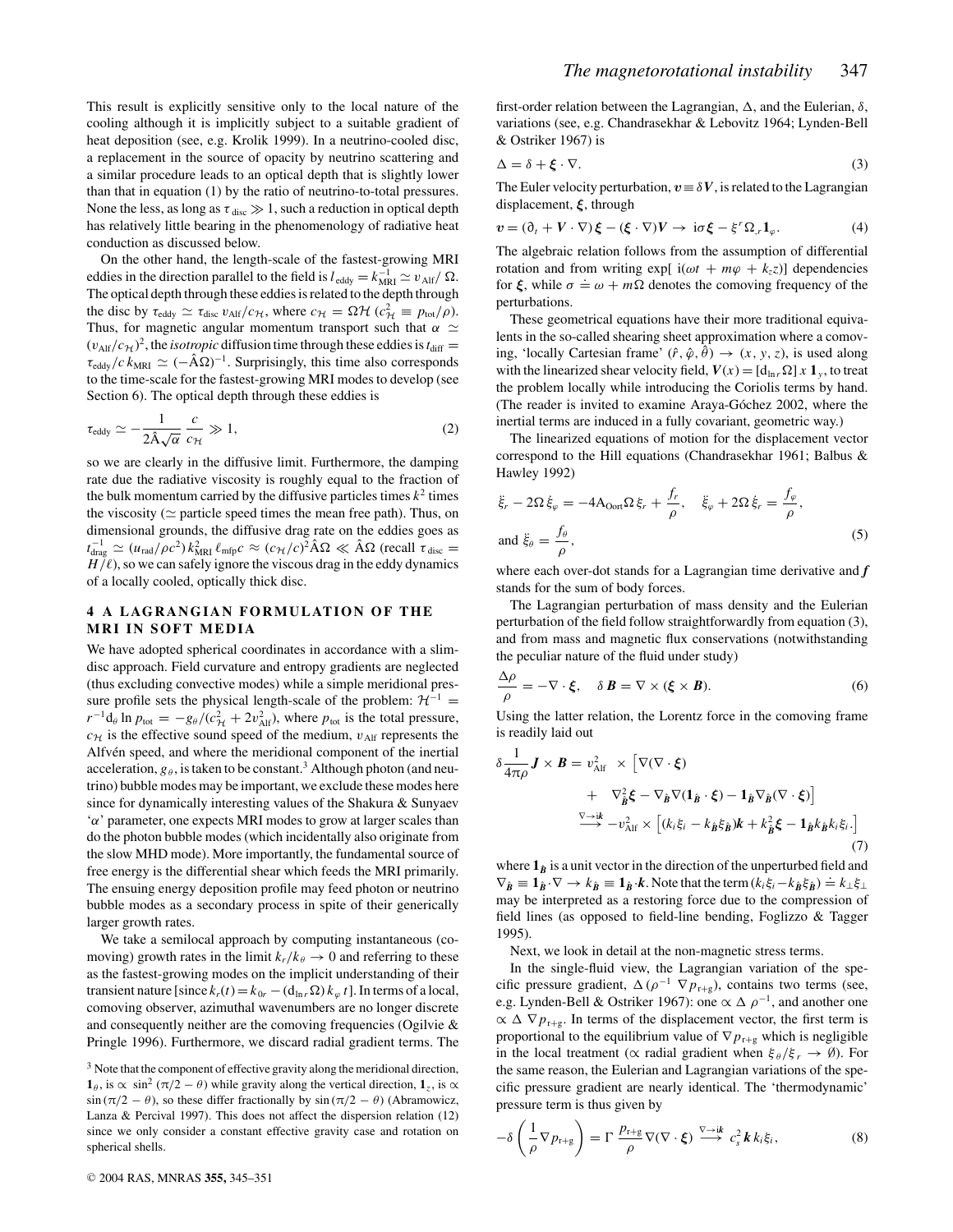This result is explicitly sensitive only to the local nature of the cooling although it is implicitly subject to a suitable gradient of heat deposition (see, e.g. Krolik 1999). In a neutrino-cooled disc, a replacement in the source of opacity by neutrino scattering and a similar procedure leads to an optical depth that is slightly lower than that in equation (1) by the ratio of neutrino-to-total pressures. None the less, as long as  $\tau_{\text{disc}} \gg 1$ , such a reduction in optical depth has relatively little bearing in the phenomenology of radiative heat conduction as discussed below.

On the other hand, the length-scale of the fastest-growing MRI eddies in the direction parallel to the field is  $l_{\text{eddy}} = k_{\text{MRI}}^{-1} \simeq v_{\text{Alf}} / \Omega$ . The optical depth through these eddies is related to the depth through the disc by  $\tau_{\text{eddy}} \simeq \tau_{\text{disc}} \, v_{\text{Alf}} / c_{\mathcal{H}}$ , where  $c_{\mathcal{H}} = \Omega \mathcal{H} \, (c_{\mathcal{H}}^2 \equiv p_{\text{tot}} / \rho)$ . Thus, for magnetic angular momentum transport such that  $\alpha \simeq$  $(v_{\text{Alf}}/c_{\mathcal{H}})^2$ , the *isotropic* diffusion time through these eddies is  $t_{\text{diff}} =$  $\tau_{\text{eddy}}/c k_{\text{MRI}} \simeq (-\hat{A}\Omega)^{-1}$ . Surprisingly, this time also corresponds to the time-scale for the fastest-growing MRI modes to develop (see Section 6). The optical depth through these eddies is

$$
\tau_{\text{eddy}} \simeq -\frac{1}{2\hat{\mathbf{A}}\sqrt{\alpha}} \frac{c}{c_{\mathcal{H}}} \gg 1,\tag{2}
$$

so we are clearly in the diffusive limit. Furthermore, the damping rate due the radiative viscosity is roughly equal to the fraction of the bulk momentum carried by the diffusive particles times  $k^2$  times the viscosity ( $\simeq$  particle speed times the mean free path). Thus, on dimensional grounds, the diffusive drag rate on the eddies goes as *t*<sub>drag</sub>  $\approx$  (*u*<sub>rad</sub>/*ρc*<sup>2</sup>) *k*<sub>MRI</sub>  $\ell$ <sub>mfp</sub>*c* ≈ (*c*<sub>H</sub>/*c*)<sup>2</sup> ÂΩ ≪ ÂΩ (recall τ<sub>disc</sub> =  $H/\ell$ ), so we can safely ignore the viscous drag in the eddy dynamics of a locally cooled, optically thick disc.

### **4 A LAGRANGIAN FORMULATION OF THE MRI IN SOFT MEDIA**

We have adopted spherical coordinates in accordance with a slimdisc approach. Field curvature and entropy gradients are neglected (thus excluding convective modes) while a simple meridional pressure profile sets the physical length-scale of the problem:  $\mathcal{H}^{-1}$  =  $r^{-1}d_{\theta}$  ln  $p_{\text{tot}} = -g_{\theta}/(c_{\mathcal{H}}^2 + 2v_{\text{Alf}}^2)$ , where  $p_{\text{tot}}$  is the total pressure,  $c_{\mathcal{H}}$  is the effective sound speed of the medium,  $v_{\text{Alf}}$  represents the Alfvén speed, and where the meridional component of the inertial acceleration,  $g_{\theta}$ , is taken to be constant.<sup>3</sup> Although photon (and neutrino) bubble modes may be important, we exclude these modes here since for dynamically interesting values of the Shakura & Sunyaev 'α' parameter, one expects MRI modes to grow at larger scales than do the photon bubble modes (which incidentally also originate from the slow MHD mode). More importantly, the fundamental source of free energy is the differential shear which feeds the MRI primarily. The ensuing energy deposition profile may feed photon or neutrino bubble modes as a secondary process in spite of their generically larger growth rates.

We take a semilocal approach by computing instantaneous (comoving) growth rates in the limit  $k_r/k_\theta \to 0$  and referring to these as the fastest-growing modes on the implicit understanding of their transient nature [since  $k_r(t) = k_{0r} - (\mathbf{d}_{\ln r} \Omega) k_{\varphi} t$ ]. In terms of a local, comoving observer, azimuthal wavenumbers are no longer discrete and consequently neither are the comoving frequencies (Ogilvie & Pringle 1996). Furthermore, we discard radial gradient terms. The first-order relation between the Lagrangian,  $\Delta$ , and the Eulerian,  $\delta$ , variations (see, e.g. Chandrasekhar & Lebovitz 1964; Lynden-Bell & Ostriker 1967) is

$$
\Delta = \delta + \xi \cdot \nabla. \tag{3}
$$

The Euler velocity perturbation,  $v \equiv \delta V$ , is related to the Lagrangian displacement, *ξ*, through

$$
v = (\partial_t + V \cdot \nabla) \xi - (\xi \cdot \nabla) V \to i\sigma \xi - \xi^r \Omega_r \mathbf{1}_{\varphi}.
$$
 (4)

The algebraic relation follows from the assumption of differential rotation and from writing  $exp[i(\omega t + m\varphi + k_z z)]$  dependencies for  $\xi$ , while  $\sigma = \omega + m\Omega$  denotes the comoving frequency of the perturbations.

These geometrical equations have their more traditional equivalents in the so-called shearing sheet approximation where a comoving, 'locally Cartesian frame'  $(\hat{r}, \hat{\varphi}, \hat{\theta}) \rightarrow (x, y, z)$ , is used along with the linearized shear velocity field,  $V(x) = [d_{\ln r} \Omega] x \mathbf{1}_y$ , to treat the problem locally while introducing the Coriolis terms by hand. (The reader is invited to examine Araya-Góchez 2002, where the inertial terms are induced in a fully covariant, geometric way.)

The linearized equations of motion for the displacement vector correspond to the Hill equations (Chandrasekhar 1961; Balbus & Hawley 1992)

$$
\ddot{\xi}_r - 2\Omega \dot{\xi}_\varphi = -4A_{\text{Oorf}} \Omega \xi_r + \frac{f_r}{\rho}, \quad \ddot{\xi}_\varphi + 2\Omega \dot{\xi}_r = \frac{f_\varphi}{\rho},
$$
\n
$$
\text{and } \ddot{\xi}_\theta = \frac{f_\theta}{\rho},
$$
\n(5)

where each over-dot stands for a Lagrangian time derivative and *f* stands for the sum of body forces.

The Lagrangian perturbation of mass density and the Eulerian perturbation of the field follow straightforwardly from equation (3), and from mass and magnetic flux conservations (notwithstanding the peculiar nature of the fluid under study)

$$
\frac{\Delta \rho}{\rho} = -\nabla \cdot \xi, \quad \delta \mathbf{B} = \nabla \times (\xi \times \mathbf{B}). \tag{6}
$$

Using the latter relation, the Lorentz force in the comoving frame is readily laid out

$$
\delta \frac{1}{4\pi\rho} \mathbf{J} \times \mathbf{B} = v_{\text{Alf}}^2 \times \left[ \nabla (\nabla \cdot \boldsymbol{\xi}) + \nabla_{\hat{\boldsymbol{B}}}^2 \boldsymbol{\xi} - \nabla_{\hat{\boldsymbol{B}}} \nabla (\mathbf{1}_{\hat{\boldsymbol{B}}} \cdot \boldsymbol{\xi}) - \mathbf{1}_{\hat{\boldsymbol{B}}} \nabla_{\hat{\boldsymbol{B}}} (\nabla \cdot \boldsymbol{\xi}) \right] \\
 \xrightarrow{\nabla \to \mathrm{i} \mathbf{k}} - v_{\text{Alf}}^2 \times \left[ (k_i \xi_i - k_{\hat{\boldsymbol{B}}} \xi_{\hat{\boldsymbol{B}}}) \mathbf{k} + k_{\hat{\boldsymbol{B}}}^2 \boldsymbol{\xi} - \mathbf{1}_{\hat{\boldsymbol{B}}} k_{\hat{\boldsymbol{B}}} k_i \xi_i \right].
$$
\n(7)

where  $\mathbf{1}_{\hat{B}}$  is a unit vector in the direction of the unperturbed field and  $\nabla_{\hat{B}} \equiv \mathbf{1}_{\hat{B}} \cdot \nabla \rightarrow k_{\hat{B}} \equiv \mathbf{1}_{\hat{B}} \cdot \hat{k}$ . Note that the term  $(k_i \xi_i - k_{\hat{B}} \xi_{\hat{B}}) \doteq k_{\perp} \xi_{\perp}$ . may be interpreted as a restoring force due to the compression of field lines (as opposed to field-line bending, Foglizzo & Tagger 1995).

Next, we look in detail at the non-magnetic stress terms.

In the single-fluid view, the Lagrangian variation of the specific pressure gradient,  $\Delta(\rho^{-1} \nabla p_{r+g})$ , contains two terms (see, e.g. Lynden-Bell & Ostriker 1967): one  $\propto \Delta \rho^{-1}$ , and another one  $\propto \Delta \nabla p_{r+g}$ . In terms of the displacement vector, the first term is proportional to the equilibrium value of  $\nabla p_{r+g}$  which is negligible in the local treatment ( $\propto$  radial gradient when  $\xi_{\theta}/\xi_{r} \rightarrow \emptyset$ ). For the same reason, the Eulerian and Lagrangian variations of the specific pressure gradient are nearly identical. The 'thermodynamic' pressure term is thus given by

$$
-\delta\left(\frac{1}{\rho}\nabla p_{r+g}\right) = \Gamma \frac{p_{r+g}}{\rho} \nabla(\nabla \cdot \xi) \stackrel{\nabla \to i\mathbf{k}}{\longrightarrow} c_s^2 \mathbf{k} k_i \xi_i, \tag{8}
$$

<sup>&</sup>lt;sup>3</sup> Note that the component of effective gravity along the meridional direction, **1** $_{\theta}$ , is  $\propto \sin^2(\pi/2 - \theta)$  while gravity along the vertical direction, **1**<sub>*z*</sub>, is  $\propto$  $\sin(\pi/2 - \theta)$ , so these differ fractionally by  $\sin(\pi/2 - \theta)$  (Abramowicz, Lanza & Percival 1997). This does not affect the dispersion relation (12) since we only consider a constant effective gravity case and rotation on spherical shells.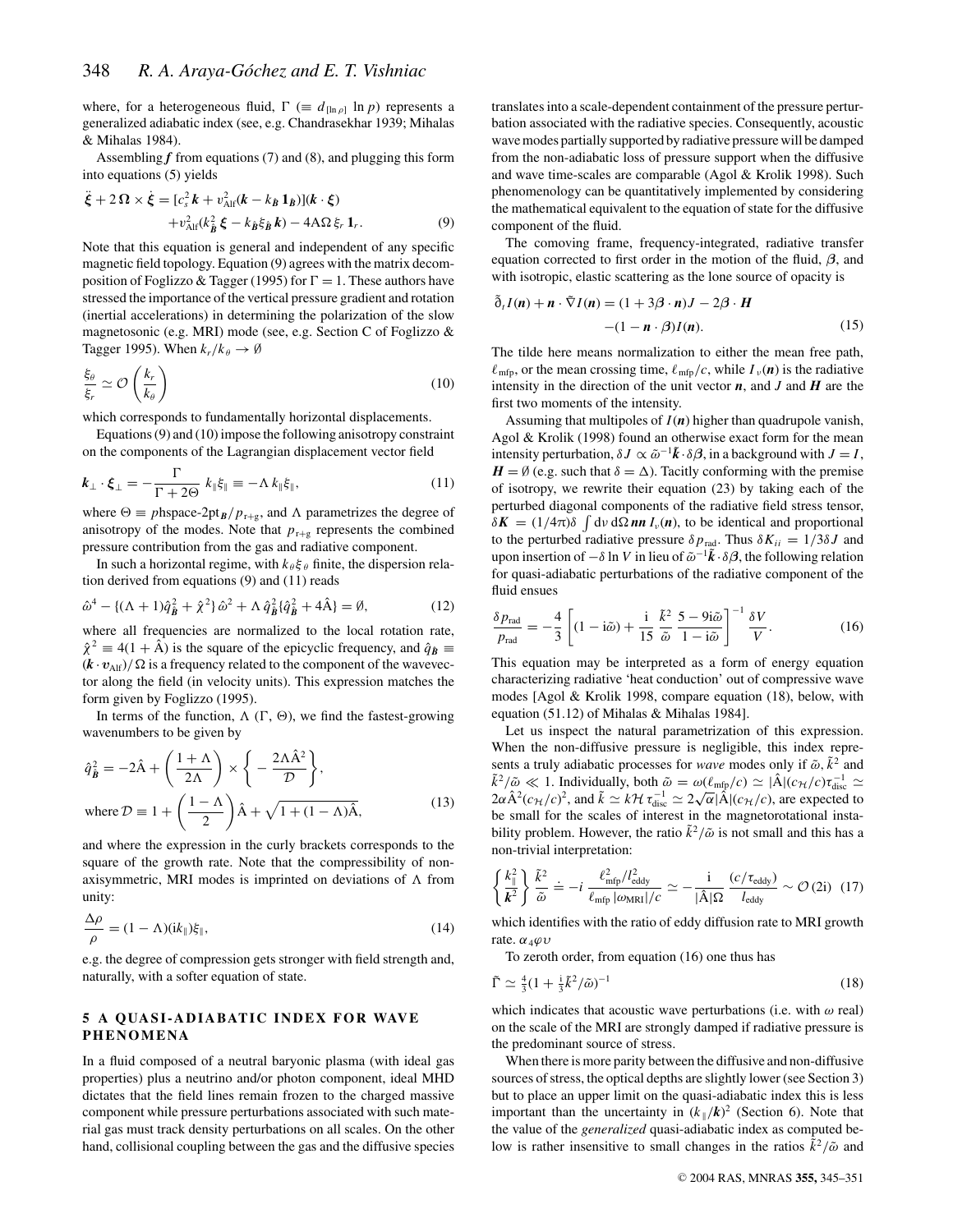where, for a heterogeneous fluid,  $\Gamma$  ( $\equiv d_{\ln \rho} \ln p$ ) represents a generalized adiabatic index (see, e.g. Chandrasekhar 1939; Mihalas & Mihalas 1984).

Assembling  $f$  from equations (7) and (8), and plugging this form into equations (5) yields

$$
\ddot{\xi} + 2\,\Omega \times \dot{\xi} = [c_s^2 \, \mathbf{k} + v_{\text{Alf}}^2 (\mathbf{k} - k_{\hat{\mathbf{B}}} \, \mathbf{1}_{\hat{\mathbf{B}}})] (\mathbf{k} \cdot \xi) \n+ v_{\text{Alf}}^2 (k_{\hat{\mathbf{B}}}^2 \, \xi - k_{\hat{\mathbf{B}}} \xi_{\hat{\mathbf{B}}} \, \mathbf{k}) - 4\,\Omega \xi_r \, \mathbf{1}_r. \tag{9}
$$

Note that this equation is general and independent of any specific magnetic field topology. Equation (9) agrees with the matrix decomposition of Foglizzo & Tagger (1995) for  $\Gamma = 1$ . These authors have stressed the importance of the vertical pressure gradient and rotation (inertial accelerations) in determining the polarization of the slow magnetosonic (e.g. MRI) mode (see, e.g. Section C of Foglizzo & Tagger 1995). When  $k_r/k_\theta \to \emptyset$ 

$$
\frac{\xi_{\theta}}{\xi_r} \simeq \mathcal{O}\left(\frac{k_r}{k_{\theta}}\right) \tag{10}
$$

which corresponds to fundamentally horizontal displacements.

Equations (9) and (10) impose the following anisotropy constraint on the components of the Lagrangian displacement vector field

$$
\boldsymbol{k}_{\perp} \cdot \boldsymbol{\xi}_{\perp} = -\frac{\Gamma}{\Gamma + 2\Theta} \; k_{\parallel} \xi_{\parallel} \equiv -\Lambda \, k_{\parallel} \xi_{\parallel}, \tag{11}
$$

where  $\Theta \equiv p \text{hspace-2pt} \cdot 2 \text{pt}_B / p_{r+g}$ , and  $\Lambda$  parametrizes the degree of anisotropy of the modes. Note that  $p_{r+g}$  represents the combined pressure contribution from the gas and radiative component.

In such a horizontal regime, with  $k_{\theta} \xi_{\theta}$  finite, the dispersion relation derived from equations (9) and (11) reads

$$
\hat{\omega}^4 - \{ (\Lambda + 1)\hat{q}_{\hat{B}}^2 + \hat{\chi}^2 \} \hat{\omega}^2 + \Lambda \hat{q}_{\hat{B}}^2 \{ \hat{q}_{\hat{B}}^2 + 4\hat{A} \} = \emptyset, \tag{12}
$$

where all frequencies are normalized to the local rotation rate,  $\hat{\chi}^2 \equiv 4(1 + \hat{A})$  is the square of the epicyclic frequency, and  $\hat{q}_R \equiv$  $(k \cdot v_{\text{Alf}})/\Omega$  is a frequency related to the component of the wavevector along the field (in velocity units). This expression matches the form given by Foglizzo (1995).

In terms of the function,  $\Lambda$  ( $\Gamma$ ,  $\Theta$ ), we find the fastest-growing wavenumbers to be given by

$$
\hat{q}_{\hat{B}}^2 = -2\hat{A} + \left(\frac{1+\Lambda}{2\Lambda}\right) \times \left\{-\frac{2\Lambda\hat{A}^2}{\mathcal{D}}\right\},\
$$
  
where  $\mathcal{D} \equiv 1 + \left(\frac{1-\Lambda}{2}\right)\hat{A} + \sqrt{1+(1-\Lambda)\hat{A}},$  (13)

and where the expression in the curly brackets corresponds to the square of the growth rate. Note that the compressibility of nonaxisymmetric, MRI modes is imprinted on deviations of  $\Lambda$  from unity:

$$
\frac{\Delta \rho}{\rho} = (1 - \Lambda)(ik_{\parallel})\xi_{\parallel},\tag{14}
$$

e.g. the degree of compression gets stronger with field strength and, naturally, with a softer equation of state.

## **5 A QUASI-ADIABATIC INDEX FOR WAVE PHENOMENA**

In a fluid composed of a neutral baryonic plasma (with ideal gas properties) plus a neutrino and/or photon component, ideal MHD dictates that the field lines remain frozen to the charged massive component while pressure perturbations associated with such material gas must track density perturbations on all scales. On the other hand, collisional coupling between the gas and the diffusive species

translates into a scale-dependent containment of the pressure perturbation associated with the radiative species. Consequently, acoustic wavemodes partially supported by radiative pressure will be damped from the non-adiabatic loss of pressure support when the diffusive and wave time-scales are comparable (Agol & Krolik 1998). Such phenomenology can be quantitatively implemented by considering the mathematical equivalent to the equation of state for the diffusive component of the fluid.

The comoving frame, frequency-integrated, radiative transfer equation corrected to first order in the motion of the fluid, *β*, and with isotropic, elastic scattering as the lone source of opacity is

$$
\tilde{\delta}_t I(n) + n \cdot \tilde{\nabla} I(n) = (1 + 3\beta \cdot n)J - 2\beta \cdot H
$$

$$
-(1 - n \cdot \beta)I(n). \tag{15}
$$

The tilde here means normalization to either the mean free path,  $\ell_{\rm mfp}$ , or the mean crossing time,  $\ell_{\rm mfp}/c$ , while  $I_{\nu}(\boldsymbol{n})$  is the radiative intensity in the direction of the unit vector  $n$ , and  $J$  and  $H$  are the first two moments of the intensity.

Assuming that multipoles of *I*(*n*) higher than quadrupole vanish, Agol & Krolik (1998) found an otherwise exact form for the mean intensity perturbation,  $\delta J \propto \tilde{\omega}^{-1} \tilde{k} \cdot \delta \beta$ , in a background with  $J = I$ ,  $H = \emptyset$  (e.g. such that  $\delta = \Delta$ ). Tacitly conforming with the premise of isotropy, we rewrite their equation (23) by taking each of the perturbed diagonal components of the radiative field stress tensor,  $\delta \mathbf{K} = (1/4\pi)\delta \int d\nu d\Omega \mathbf{n} \mathbf{n} I_{\nu}(\mathbf{n})$ , to be identical and proportional to the perturbed radiative pressure  $\delta p_{\text{rad}}$ . Thus  $\delta K_{ii} = 1/3\delta J$  and upon insertion of  $-\delta \ln V$  in lieu of  $\tilde{\omega}^{-1}\tilde{k} \cdot \delta \beta$ , the following relation for quasi-adiabatic perturbations of the radiative component of the fluid ensues

$$
\frac{\delta p_{\text{rad}}}{p_{\text{rad}}} = -\frac{4}{3} \left[ (1 - i\tilde{\omega}) + \frac{i}{15} \frac{\tilde{k}^2}{\tilde{\omega}} \frac{5 - 9i\tilde{\omega}}{1 - i\tilde{\omega}} \right]^{-1} \frac{\delta V}{V}.
$$
 (16)

This equation may be interpreted as a form of energy equation characterizing radiative 'heat conduction' out of compressive wave modes [Agol & Krolik 1998, compare equation (18), below, with equation (51.12) of Mihalas & Mihalas 1984].

Let us inspect the natural parametrization of this expression. When the non-diffusive pressure is negligible, this index represents a truly adiabatic processes for *wave* modes only if  $\tilde{\omega}$ ,  $\tilde{k}^2$  and  $\tilde{k}^2/\tilde{\omega} \ll 1$ . Individually, both  $\tilde{\omega} = \omega(\ell_{\rm mfp}/c) \simeq |\hat{A}|(c_H/c)\tau_{\rm disc}^{-1} \simeq$  $2\alpha \hat{A}^2(c_H/c)^2$ , and  $\tilde{k} \simeq k \mathcal{H} \tau_{\text{disc}}^{-1} \simeq 2\sqrt{\alpha} |\hat{A}|(c_H/c)$ , are expected to be small for the scales of interest in the magnetorotational instability problem. However, the ratio  $\tilde{k}^2/\tilde{\omega}$  is not small and this has a non-trivial interpretation:

$$
\left\{ \frac{k_{\parallel}^2}{\mathbf{k}^2} \right\} \frac{\tilde{k}^2}{\tilde{\omega}} = -i \frac{\ell_{\rm mfp}^2 / l_{\rm eddy}^2}{\ell_{\rm mfp} \, |\omega_{\rm MRI}| / c} \simeq -\frac{i}{|\hat{\mathbf{A}}| \Omega} \frac{(c / \tau_{\rm eddy})}{l_{\rm eddy}} \sim \mathcal{O} \, (2i) \tag{17}
$$

which identifies with the ratio of eddy diffusion rate to MRI growth rate.  $\alpha_{4} \omega \upsilon$ 

To zeroth order, from equation (16) one thus has

$$
\tilde{\Gamma} \simeq \frac{4}{3} (1 + \frac{1}{3} \tilde{k}^2 / \tilde{\omega})^{-1} \tag{18}
$$

which indicates that acoustic wave perturbations (i.e. with  $\omega$  real) on the scale of the MRI are strongly damped if radiative pressure is the predominant source of stress.

When there is more parity between the diffusive and non-diffusive sources of stress, the optical depths are slightly lower (see Section 3) but to place an upper limit on the quasi-adiabatic index this is less important than the uncertainty in  $(k_{\parallel}/k)^2$  (Section 6). Note that the value of the *generalized* quasi-adiabatic index as computed below is rather insensitive to small changes in the ratios  $\tilde{k}^2/\tilde{\omega}$  and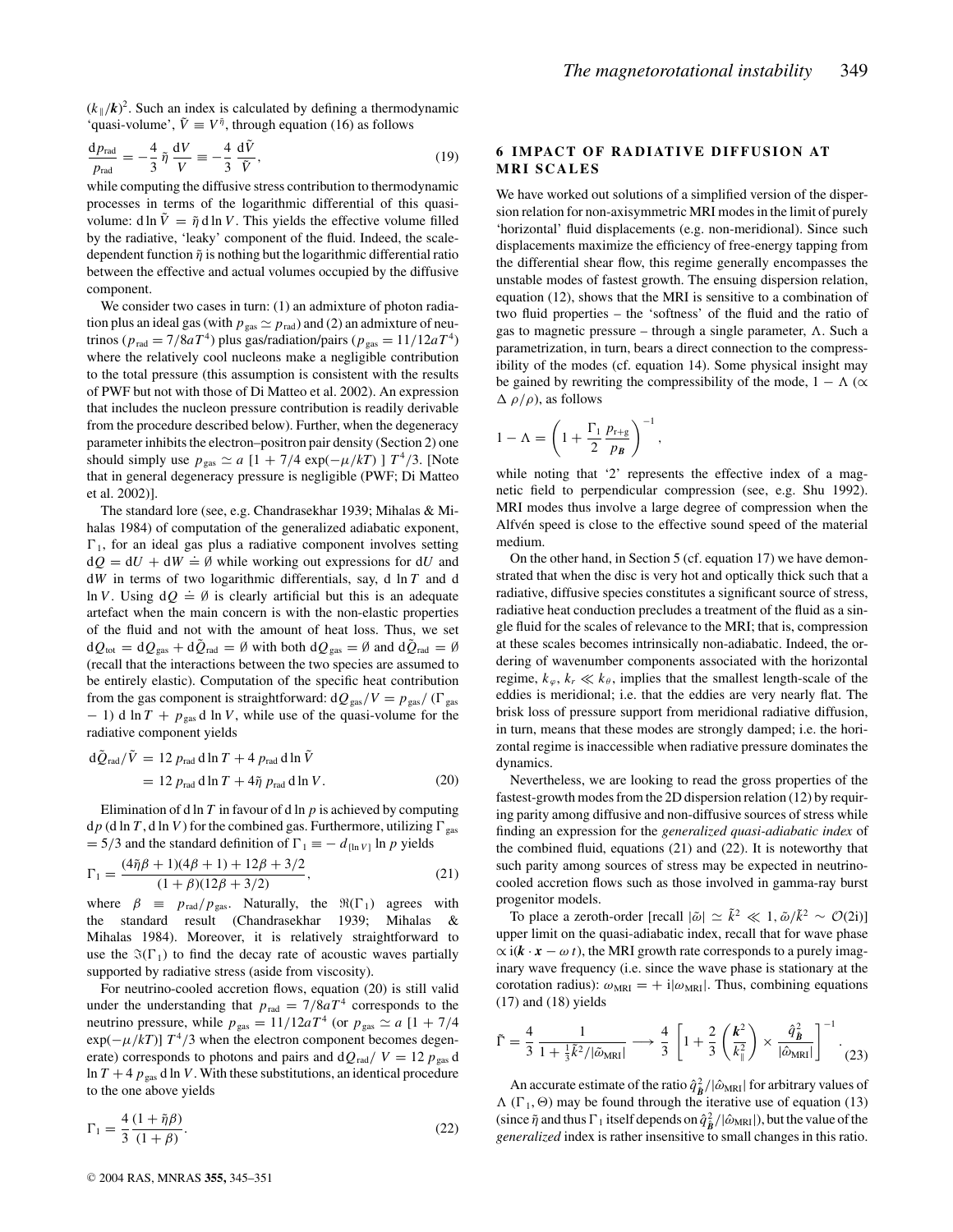$(k_{\parallel}/k)^2$ . Such an index is calculated by defining a thermodynamic 'quasi-volume',  $\tilde{V} \equiv V^{\tilde{\eta}}$ , through equation (16) as follows

$$
\frac{\mathrm{d}p_{\text{rad}}}{p_{\text{rad}}} = -\frac{4}{3}\,\tilde{\eta}\,\frac{\mathrm{d}V}{V} \equiv -\frac{4}{3}\,\frac{\mathrm{d}\tilde{V}}{\tilde{V}},\tag{19}
$$

while computing the diffusive stress contribution to thermodynamic processes in terms of the logarithmic differential of this quasivolume: d ln  $\tilde{V} = \tilde{\eta}$  d ln *V*. This yields the effective volume filled by the radiative, 'leaky' component of the fluid. Indeed, the scaledependent function  $\tilde{\eta}$  is nothing but the logarithmic differential ratio between the effective and actual volumes occupied by the diffusive component.

We consider two cases in turn: (1) an admixture of photon radiation plus an ideal gas (with  $p_{\text{gas}} \simeq p_{\text{rad}}$ ) and (2) an admixture of neutrinos ( $p_{rad} = 7/8aT^4$ ) plus gas/radiation/pairs ( $p_{gas} = 11/12aT^4$ ) where the relatively cool nucleons make a negligible contribution to the total pressure (this assumption is consistent with the results of PWF but not with those of Di Matteo et al. 2002). An expression that includes the nucleon pressure contribution is readily derivable from the procedure described below). Further, when the degeneracy parameter inhibits the electron–positron pair density (Section 2) one should simply use  $p_{\text{gas}} \simeq a [1 + 7/4 \exp(-\mu/kT)] T^4/3$ . [Note that in general degeneracy pressure is negligible (PWF; Di Matteo et al. 2002)].

The standard lore (see, e.g. Chandrasekhar 1939; Mihalas & Mihalas 1984) of computation of the generalized adiabatic exponent,  $\Gamma_1$ , for an ideal gas plus a radiative component involves setting  $dQ = dU + dW \doteq \emptyset$  while working out expressions for d*U* and d*W* in terms of two logarithmic differentials, say, d ln *T* and d  $\ln V$ . Using  $dQ \doteq \emptyset$  is clearly artificial but this is an adequate artefact when the main concern is with the non-elastic properties of the fluid and not with the amount of heat loss. Thus, we set  $dQ_{\text{tot}} = dQ_{\text{gas}} + d\bar{Q}_{\text{rad}} = \emptyset$  with both  $dQ_{\text{gas}} = \emptyset$  and  $d\bar{Q}_{\text{rad}} = \emptyset$ (recall that the interactions between the two species are assumed to be entirely elastic). Computation of the specific heat contribution from the gas component is straightforward:  $dQ_{gas}/V = p_{gas}/(\Gamma_{gas})$ − 1) d ln *T* + *p*gas d ln *V*, while use of the quasi-volume for the radiative component yields

$$
d\tilde{Q}_{\text{rad}}/\tilde{V} = 12 p_{\text{rad}} \, d \ln T + 4 p_{\text{rad}} \, d \ln \tilde{V}
$$
  
= 12 p\_{\text{rad}} \, d \ln T + 4 \tilde{\eta} p\_{\text{rad}} \, d \ln V. (20)

Elimination of d ln *T* in favour of d ln *p* is achieved by computing  $dp$  (d ln *T*, d ln *V*) for the combined gas. Furthermore, utilizing  $\Gamma_{\text{gas}}$  $= 5/3$  and the standard definition of  $\Gamma_1 \equiv - d_{\ln V} \ln p$  yields

$$
\Gamma_1 = \frac{(4\tilde{\eta}\beta + 1)(4\beta + 1) + 12\beta + 3/2}{(1 + \beta)(12\beta + 3/2)},
$$
\n(21)

where  $\beta$   $\equiv$   $p_{rad}/p_{gas}$ . Naturally, the  $\Re(\Gamma_1)$  agrees with the standard result (Chandrasekhar 1939; Mihalas & Mihalas 1984). Moreover, it is relatively straightforward to use the  $\Im(\Gamma_1)$  to find the decay rate of acoustic waves partially supported by radiative stress (aside from viscosity).

For neutrino-cooled accretion flows, equation (20) is still valid under the understanding that  $p_{rad} = 7/8aT^4$  corresponds to the neutrino pressure, while  $p_{\text{gas}} = 11/12aT^4$  (or  $p_{\text{gas}} \simeq a [1 + 7/4]$  $\exp(-\mu/kT)$ ]  $T^4/3$  when the electron component becomes degenerate) corresponds to photons and pairs and  $dQ_{rad}/V = 12 p_{gas} d$ ln  $T + 4 p_{\text{gas}}$  d ln *V*. With these substitutions, an identical procedure to the one above yields

$$
\Gamma_1 = \frac{4}{3} \frac{(1 + \tilde{\eta}\beta)}{(1 + \beta)}.
$$
\n(22)

# **6 IMPACT OF RADIATIVE DIFFUSION AT MRI SCALES**

We have worked out solutions of a simplified version of the dispersion relation for non-axisymmetric MRI modes in the limit of purely 'horizontal' fluid displacements (e.g. non-meridional). Since such displacements maximize the efficiency of free-energy tapping from the differential shear flow, this regime generally encompasses the unstable modes of fastest growth. The ensuing dispersion relation, equation (12), shows that the MRI is sensitive to a combination of two fluid properties – the 'softness' of the fluid and the ratio of gas to magnetic pressure – through a single parameter,  $\Lambda$ . Such a parametrization, in turn, bears a direct connection to the compressibility of the modes (cf. equation 14). Some physical insight may be gained by rewriting the compressibility of the mode,  $1 - \Lambda$  ( $\alpha$ )  $\Delta \rho/\rho$ ), as follows

$$
1 - \Lambda = \left(1 + \frac{\Gamma_1}{2} \frac{p_{r+g}}{p_B}\right)^{-1}
$$

while noting that '2' represents the effective index of a magnetic field to perpendicular compression (see, e.g. Shu 1992). MRI modes thus involve a large degree of compression when the Alfvén speed is close to the effective sound speed of the material medium.

,

On the other hand, in Section 5 (cf. equation 17) we have demonstrated that when the disc is very hot and optically thick such that a radiative, diffusive species constitutes a significant source of stress, radiative heat conduction precludes a treatment of the fluid as a single fluid for the scales of relevance to the MRI; that is, compression at these scales becomes intrinsically non-adiabatic. Indeed, the ordering of wavenumber components associated with the horizontal regime,  $k_{\varphi}$ ,  $k_{r} \ll k_{\theta}$ , implies that the smallest length-scale of the eddies is meridional; i.e. that the eddies are very nearly flat. The brisk loss of pressure support from meridional radiative diffusion, in turn, means that these modes are strongly damped; i.e. the horizontal regime is inaccessible when radiative pressure dominates the dynamics.

Nevertheless, we are looking to read the gross properties of the fastest-growth modes from the 2D dispersion relation (12) by requiring parity among diffusive and non-diffusive sources of stress while finding an expression for the *generalized quasi-adiabatic index* of the combined fluid, equations (21) and (22). It is noteworthy that such parity among sources of stress may be expected in neutrinocooled accretion flows such as those involved in gamma-ray burst progenitor models.

To place a zeroth-order [recall  $|\tilde{\omega}| \simeq \tilde{k}^2 \ll 1$ ,  $\tilde{\omega}/\tilde{k}^2 \sim \mathcal{O}(2i)$ ] upper limit on the quasi-adiabatic index, recall that for wave phase  $\propto$  i( $\mathbf{k} \cdot \mathbf{x} - \omega t$ ), the MRI growth rate corresponds to a purely imaginary wave frequency (i.e. since the wave phase is stationary at the corotation radius):  $\omega_{MRI} = + i|\omega_{MRI}$ . Thus, combining equations (17) and (18) yields

$$
\tilde{\Gamma} = \frac{4}{3} \frac{1}{1 + \frac{1}{3} \tilde{k}^2 / |\tilde{\omega}_{\text{MRI}}|} \longrightarrow \frac{4}{3} \left[ 1 + \frac{2}{3} \left( \frac{k^2}{k_{\parallel}^2} \right) \times \frac{\hat{q}_{\tilde{B}}^2}{|\tilde{\omega}_{\text{MRI}}|} \right]^{-1} .
$$
(23)

An accurate estimate of the ratio  $\hat{q}_{\hat{\mathbf{B}}}^2/|\hat{\omega}_{\text{MRI}}|$  for arbitrary values of  $\Lambda$  ( $\Gamma_1$ ,  $\Theta$ ) may be found through the iterative use of equation (13) (since  $\tilde{\eta}$  and thus  $\Gamma_1$  itself depends on  $\hat{q}_B^2/|\hat{\omega}_{MRI}|\text{, but the value of the}$ *generalized* index is rather insensitive to small changes in this ratio.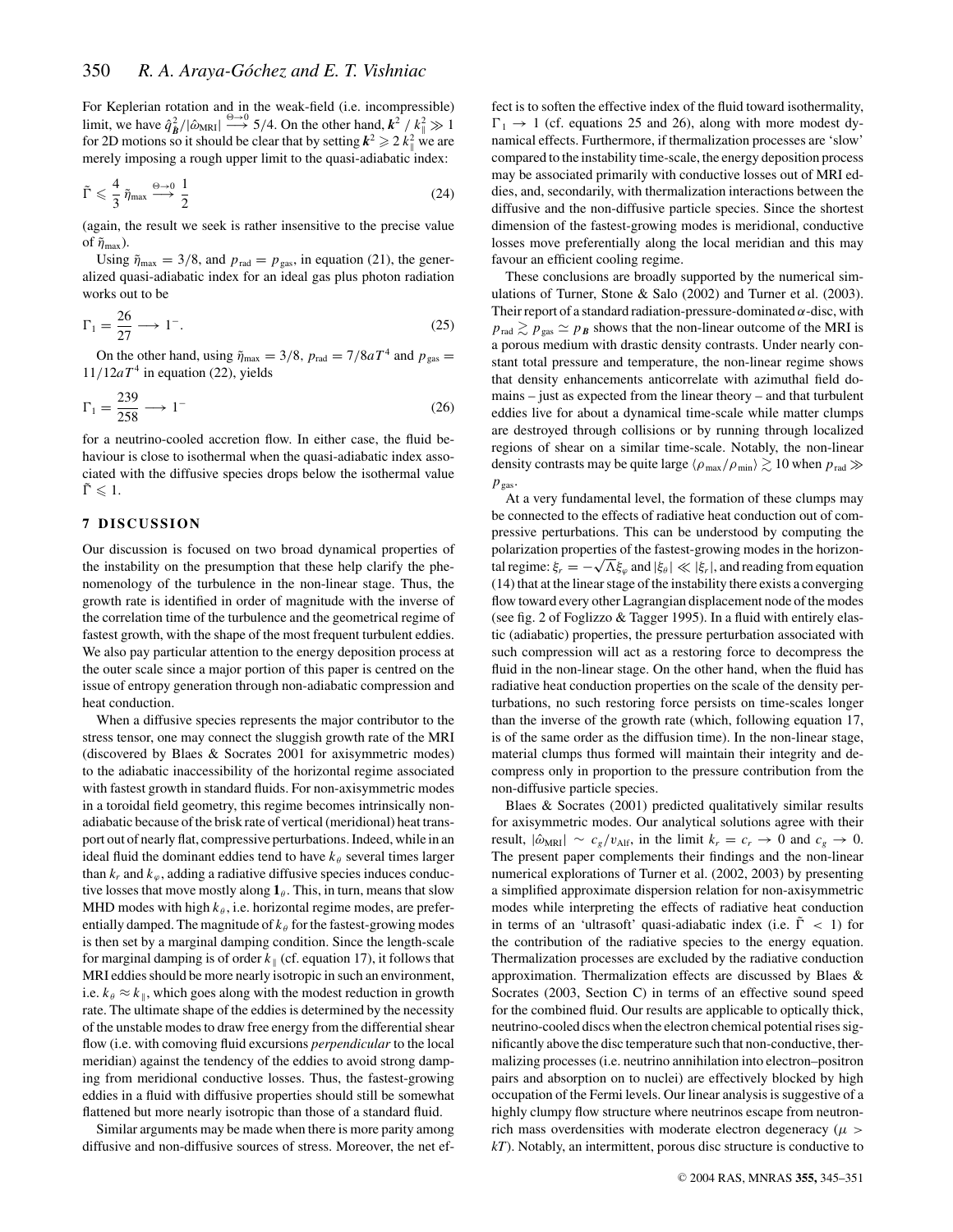For Keplerian rotation and in the weak-field (i.e. incompressible) limit, we have  $\hat{q}_{\hat{B}}^2/|\hat{\omega}_{MRI}| \stackrel{\Theta \to 0}{\longrightarrow} 5/4$ . On the other hand,  $k^2 / k_{\parallel}^2 \gg 1$ for 2D motions so it should be clear that by setting  $k^2 \geqslant 2 k_{\parallel}^2$  we are merely imposing a rough upper limit to the quasi-adiabatic index:

$$
\tilde{\Gamma} \leqslant \frac{4}{3} \tilde{\eta}_{\text{max}} \stackrel{\Theta \to 0}{\longrightarrow} \frac{1}{2} \tag{24}
$$

(again, the result we seek is rather insensitive to the precise value of  $\tilde{\eta}_{\text{max}}$ ).

Using  $\tilde{\eta}_{\text{max}} = 3/8$ , and  $p_{\text{rad}} = p_{\text{gas}}$ , in equation (21), the generalized quasi-adiabatic index for an ideal gas plus photon radiation works out to be

$$
\Gamma_1 = \frac{26}{27} \longrightarrow 1^-.
$$
\n(25)

On the other hand, using  $\tilde{\eta}_{\text{max}} = 3/8$ ,  $p_{\text{rad}} = 7/8aT^4$  and  $p_{\text{gas}} =$  $11/12aT<sup>4</sup>$  in equation (22), yields

$$
\Gamma_1 = \frac{239}{258} \longrightarrow 1^- \tag{26}
$$

for a neutrino-cooled accretion flow. In either case, the fluid behaviour is close to isothermal when the quasi-adiabatic index associated with the diffusive species drops below the isothermal value  $\tilde{\Gamma} \leqslant 1.$ 

# **7 DISCUSSION**

Our discussion is focused on two broad dynamical properties of the instability on the presumption that these help clarify the phenomenology of the turbulence in the non-linear stage. Thus, the growth rate is identified in order of magnitude with the inverse of the correlation time of the turbulence and the geometrical regime of fastest growth, with the shape of the most frequent turbulent eddies. We also pay particular attention to the energy deposition process at the outer scale since a major portion of this paper is centred on the issue of entropy generation through non-adiabatic compression and heat conduction.

When a diffusive species represents the major contributor to the stress tensor, one may connect the sluggish growth rate of the MRI (discovered by Blaes & Socrates 2001 for axisymmetric modes) to the adiabatic inaccessibility of the horizontal regime associated with fastest growth in standard fluids. For non-axisymmetric modes in a toroidal field geometry, this regime becomes intrinsically nonadiabatic because of the brisk rate of vertical (meridional) heat transport out of nearly flat, compressive perturbations. Indeed, while in an ideal fluid the dominant eddies tend to have  $k_{\theta}$  several times larger than  $k_r$  and  $k_\varphi$ , adding a radiative diffusive species induces conductive losses that move mostly along  $\mathbf{1}_{\theta}$ . This, in turn, means that slow MHD modes with high  $k_{\theta}$ , i.e. horizontal regime modes, are preferentially damped. The magnitude of  $k_{\theta}$  for the fastest-growing modes is then set by a marginal damping condition. Since the length-scale for marginal damping is of order  $k_{\parallel}$  (cf. equation 17), it follows that MRI eddies should be more nearly isotropic in such an environment, i.e.  $k_{\theta} \approx k_{\parallel}$ , which goes along with the modest reduction in growth rate. The ultimate shape of the eddies is determined by the necessity of the unstable modes to draw free energy from the differential shear flow (i.e. with comoving fluid excursions *perpendicular* to the local meridian) against the tendency of the eddies to avoid strong damping from meridional conductive losses. Thus, the fastest-growing eddies in a fluid with diffusive properties should still be somewhat flattened but more nearly isotropic than those of a standard fluid.

Similar arguments may be made when there is more parity among diffusive and non-diffusive sources of stress. Moreover, the net effect is to soften the effective index of the fluid toward isothermality,  $\Gamma_1 \rightarrow 1$  (cf. equations 25 and 26), along with more modest dynamical effects. Furthermore, if thermalization processes are 'slow' compared to the instability time-scale, the energy deposition process may be associated primarily with conductive losses out of MRI eddies, and, secondarily, with thermalization interactions between the diffusive and the non-diffusive particle species. Since the shortest dimension of the fastest-growing modes is meridional, conductive losses move preferentially along the local meridian and this may favour an efficient cooling regime.

These conclusions are broadly supported by the numerical simulations of Turner, Stone & Salo (2002) and Turner et al. (2003). Their report of a standard radiation-pressure-dominated  $\alpha$ -disc, with  $p_{\text{rad}} \gtrsim p_{\text{gas}} \simeq p_B$  shows that the non-linear outcome of the MRI is a porous medium with drastic density contrasts. Under nearly constant total pressure and temperature, the non-linear regime shows that density enhancements anticorrelate with azimuthal field domains – just as expected from the linear theory – and that turbulent eddies live for about a dynamical time-scale while matter clumps are destroyed through collisions or by running through localized regions of shear on a similar time-scale. Notably, the non-linear density contrasts may be quite large  $\langle \rho_{\text{max}}/\rho_{\text{min}} \rangle \gtrsim 10$  when  $p_{\text{rad}} \gg$  $p_{\text{gas}}$ .

At a very fundamental level, the formation of these clumps may be connected to the effects of radiative heat conduction out of compressive perturbations. This can be understood by computing the polarization properties of the fastest-growing modes in the horizontal regime:  $\xi_r = -\sqrt{\Lambda} \xi_\varphi$  and  $|\xi_\theta| \ll |\xi_r|$ , and reading from equation (14) that at the linear stage of the instability there exists a converging flow toward every other Lagrangian displacement node of the modes (see fig. 2 of Foglizzo & Tagger 1995). In a fluid with entirely elastic (adiabatic) properties, the pressure perturbation associated with such compression will act as a restoring force to decompress the fluid in the non-linear stage. On the other hand, when the fluid has radiative heat conduction properties on the scale of the density perturbations, no such restoring force persists on time-scales longer than the inverse of the growth rate (which, following equation 17, is of the same order as the diffusion time). In the non-linear stage, material clumps thus formed will maintain their integrity and decompress only in proportion to the pressure contribution from the non-diffusive particle species.

Blaes & Socrates (2001) predicted qualitatively similar results for axisymmetric modes. Our analytical solutions agree with their result,  $|\hat{\omega}_{MRI}| \sim c_g/v_{\text{Alf}}$ , in the limit  $k_r = c_r \rightarrow 0$  and  $c_g \rightarrow 0$ . The present paper complements their findings and the non-linear numerical explorations of Turner et al. (2002, 2003) by presenting a simplified approximate dispersion relation for non-axisymmetric modes while interpreting the effects of radiative heat conduction in terms of an 'ultrasoft' quasi-adiabatic index (i.e.  $\tilde{\Gamma}$  < 1) for the contribution of the radiative species to the energy equation. Thermalization processes are excluded by the radiative conduction approximation. Thermalization effects are discussed by Blaes & Socrates (2003, Section C) in terms of an effective sound speed for the combined fluid. Our results are applicable to optically thick, neutrino-cooled discs when the electron chemical potential rises significantly above the disc temperature such that non-conductive, thermalizing processes (i.e. neutrino annihilation into electron–positron pairs and absorption on to nuclei) are effectively blocked by high occupation of the Fermi levels. Our linear analysis is suggestive of a highly clumpy flow structure where neutrinos escape from neutronrich mass overdensities with moderate electron degeneracy ( $\mu$  > *kT*). Notably, an intermittent, porous disc structure is conductive to